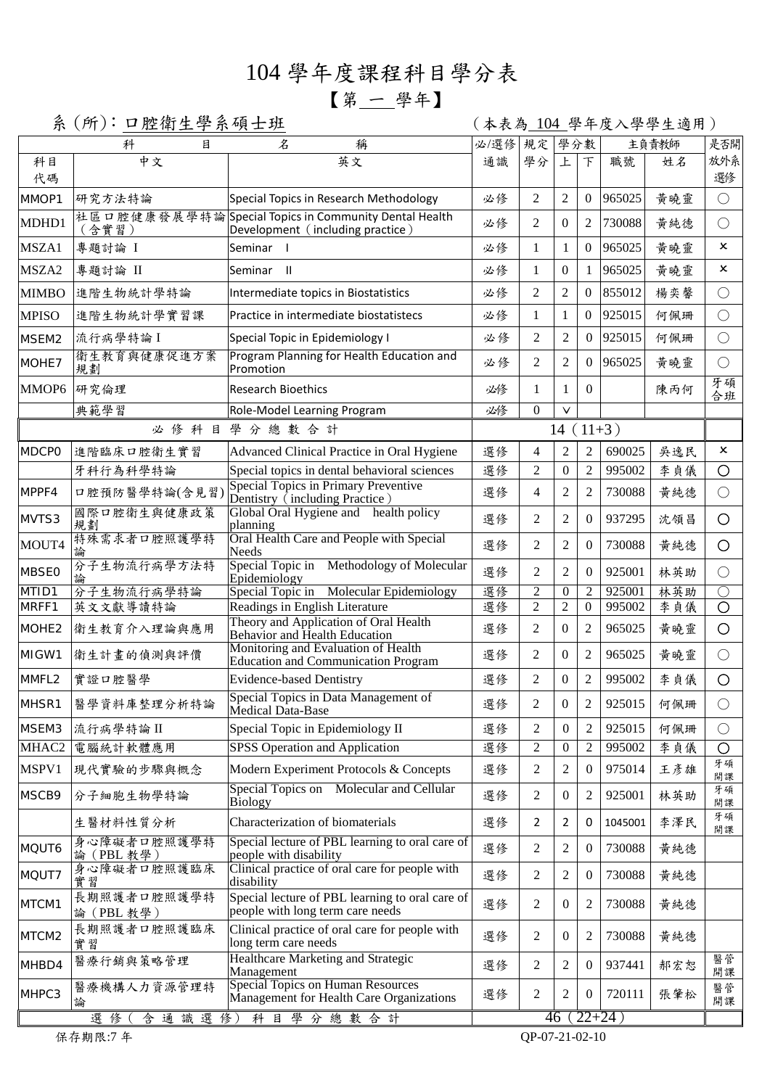## 104 學年度課程科目學分表

## 【第 一 學年】

系 (所): 口腔衛生學系碩士班 (本表為 104 學年度入學學生適用)

|                   | 科<br>目                              | 名<br>稱                                                                                    | 必/選修       | 規定             | 學分數              |                  | 主負責教師   |     | 是否開                       |
|-------------------|-------------------------------------|-------------------------------------------------------------------------------------------|------------|----------------|------------------|------------------|---------|-----|---------------------------|
| 科目<br>代碼          | 中文                                  | 英文                                                                                        | 通識         | 學分             | 上                | F                | 職號      | 姓名  | 放外系<br>選修                 |
| MMOP1             | 研究方法特論                              | Special Topics in Research Methodology                                                    | 必修         | 2              | 2                | $\overline{0}$   | 965025  | 黄曉靈 | $\bigcirc$                |
| MDHD1             | 社區口腔健康發展學特論<br>(含實習)                | Special Topics in Community Dental Health<br>Development (including practice)             | 必修         | 2              | $\Omega$         | $\overline{2}$   | 730088  | 黄純德 | $\bigcirc$                |
| MSZA1             | 專題討論 I                              | Seminar I                                                                                 | 必修         | 1              | 1                | $\overline{0}$   | 965025  | 黄曉靈 | ×                         |
| MSZA2             | 專題討論 II                             | Seminar II                                                                                | 必修         | 1              | $\mathbf{0}$     | $\mathbf{1}$     | 965025  | 黃曉靈 | $\boldsymbol{\mathsf{x}}$ |
| <b>MIMBO</b>      | 進階生物統計學特論                           | Intermediate topics in Biostatistics                                                      | 必修         | 2              | $\overline{2}$   | $\overline{0}$   | 855012  | 楊奕馨 | $\bigcirc$                |
| <b>MPISO</b>      | 進階生物統計學實習課                          | Practice in intermediate biostatistecs                                                    | 必修         | 1              | 1                | $\mathbf{0}$     | 925015  | 何佩珊 | $\bigcirc$                |
| MSEM2             | 流行病學特論I                             | Special Topic in Epidemiology I                                                           | 必修         | 2              | 2                | $\Omega$         | 925015  | 何佩珊 | $\bigcirc$                |
| MOHE7             | 衛生教育與健康促進方案<br>規劃                   | Program Planning for Health Education and<br>Promotion                                    | 必修         | $\overline{2}$ | 2                | $\Omega$         | 965025  | 黄曉靈 | $\bigcirc$                |
| MMOP6             | 研究倫理                                | <b>Research Bioethics</b>                                                                 | 必修         | 1              | 1                | $\Omega$         |         | 陳丙何 | 牙碩<br>合班                  |
|                   | 典範學習<br>Role-Model Learning Program |                                                                                           | 必修         | $\Omega$       | $\vee$           |                  |         |     |                           |
|                   |                                     | 必修科目學分總數合計                                                                                | $14(11+3)$ |                |                  |                  |         |     |                           |
| <b>MDCPO</b>      | 進階臨床口腔衛生實習                          | Advanced Clinical Practice in Oral Hygiene                                                | 選修         | 4              | $\overline{2}$   | $\overline{2}$   | 690025  | 吳逸民 | ×                         |
|                   | 牙科行為科學特論                            | Special topics in dental behavioral sciences                                              | 選修         | 2              | $\overline{0}$   | $\overline{2}$   | 995002  | 李貞儀 | O                         |
| MPPF4             | 口腔預防醫學特論(含見習)                       | <b>Special Topics in Primary Preventive</b><br>Dentistry (including Practice)             | 選修         | 4              | 2                | $\overline{2}$   | 730088  | 黄純德 | $\bigcirc$                |
| MVTS3             | 國際口腔衛生與健康政策<br>規劃                   | Global Oral Hygiene and health policy<br>planning                                         | 選修         | $\overline{2}$ | $\overline{2}$   | $\overline{0}$   | 937295  | 沈領昌 | $\bigcirc$                |
| MOUT4             | 特殊需求者口腔照護學特                         | Oral Health Care and People with Special<br>Needs                                         | 選修         | $\overline{2}$ | $\overline{2}$   | $\boldsymbol{0}$ | 730088  | 黃純德 | $\circ$                   |
| <b>MBSE0</b>      | 分子生物流行病學方法特                         | Special Topic in Methodology of Molecular<br>Epidemiology                                 | 選修         | 2              | 2                | $\Omega$         | 925001  | 林英助 | $\bigcirc$                |
| MTID1             | 分子生物流行病學特論                          | Special Topic in<br>Molecular Epidemiology                                                | 選修         | $\overline{2}$ | $\overline{0}$   | $\overline{2}$   | 925001  | 林英助 | $\bigcirc$                |
| MRFF1             | 英文文獻導讀特論                            | Readings in English Literature                                                            | 選修         | $\overline{2}$ | $\overline{2}$   | $\overline{0}$   | 995002  | 李貞儀 | $\circ$                   |
| MOHE <sub>2</sub> | 衛生教育介入理論與應用                         | Theory and Application of Oral Health<br><b>Behavior and Health Education</b>             | 選修         | 2              | $\boldsymbol{0}$ | 2                | 965025  | 黃曉靈 | $\circ$                   |
| MIGW1             | 衛生計畫的偵測與評價                          | Monitoring and Evaluation of Health<br>Education and Communication Program                | 選修         | 2              | $\boldsymbol{0}$ | $\overline{2}$   | 965025  | 黄曉靈 | $\bigcirc$                |
| MMFL2             | 實證口腔醫學                              | <b>Evidence-based Dentistry</b>                                                           | 選修         | 2              | $\boldsymbol{0}$ | $\overline{2}$   | 995002  | 李貞儀 | $\bigcirc$                |
| MHSR1             | 醫學資料庫整理分析特論                         | Special Topics in Data Management of<br>Medical Data-Base                                 |            | 2              | $\theta$         | $\overline{2}$   | 925015  | 何佩珊 | $\bigcirc$                |
| MSEM3             | 流行病學特論 II                           | Special Topic in Epidemiology II                                                          | 選修         | 2              | $\boldsymbol{0}$ | $\mathbf{2}$     | 925015  | 何佩珊 | $\bigcirc$                |
| MHAC2             | 電腦統計軟體應用                            | SPSS Operation and Application                                                            | 選修         | 2              | $\boldsymbol{0}$ | $\mathbf{2}$     | 995002  | 李貞儀 | $\bigcirc$                |
| MSPV1             | 現代實驗的步驟與概念                          | Modern Experiment Protocols & Concepts                                                    | 選修         | 2              | $\overline{2}$   | $\overline{0}$   | 975014  | 王彦雄 | 牙碩<br>開課                  |
| MSCB9             | 分子細胞生物學特論                           | Molecular and Cellular<br>Special Topics on<br><b>Biology</b>                             |            | 2              | $\theta$         | 2                | 925001  | 林英助 | 牙碩<br>開課                  |
|                   | 生醫材料性質分析                            | Characterization of biomaterials                                                          | 選修         | $\overline{2}$ | 2                | 0                | 1045001 | 李澤民 | 牙碩<br>開課                  |
| MQUT6             | 身心障礙者口腔照護學特<br>論 (PBL 教學)           | Special lecture of PBL learning to oral care of<br>people with disability                 | 選修         | 2              | 2                | $\boldsymbol{0}$ | 730088  | 黃純德 |                           |
| MQUT7             | 身心障礙者口腔照護臨床<br>實習                   | Clinical practice of oral care for people with<br>選修<br>disability                        |            | 2              | 2                | $\overline{0}$   | 730088  | 黄純德 |                           |
| MTCM1             | 長期照護者口腔照護學特<br>論 (PBL 教學)           | Special lecture of PBL learning to oral care of<br>people with long term care needs       | 選修         | 2              | $\overline{0}$   | 2                | 730088  | 黄純德 |                           |
| MTCM2             | 長期照護者口腔照護臨床<br>實習                   | Clinical practice of oral care for people with<br>long term care needs                    | 選修         | 2              | $\overline{0}$   | 2                | 730088  | 黄純德 |                           |
| MHBD4             | 醫療行銷與策略管理                           | Healthcare Marketing and Strategic<br>Management                                          | 選修         | 2              | $\overline{2}$   | $\boldsymbol{0}$ | 937441  | 郝宏恕 | 醫管<br>開課                  |
| MHPC3             | 醫療機構人力資源管理特<br>論<br>選修<br>含通識選修)    | Special Topics on Human Resources<br>Management for Health Care Organizations<br>科目學分總數合計 | 選修         | 2              | 2                | $\boldsymbol{0}$ | 720111  | 張肇松 | 醫管<br>開課                  |
|                   |                                     |                                                                                           | 46         |                | $(22+24)$        |                  |         |     |                           |

保存期限:7 年 QP-07-21-02-10